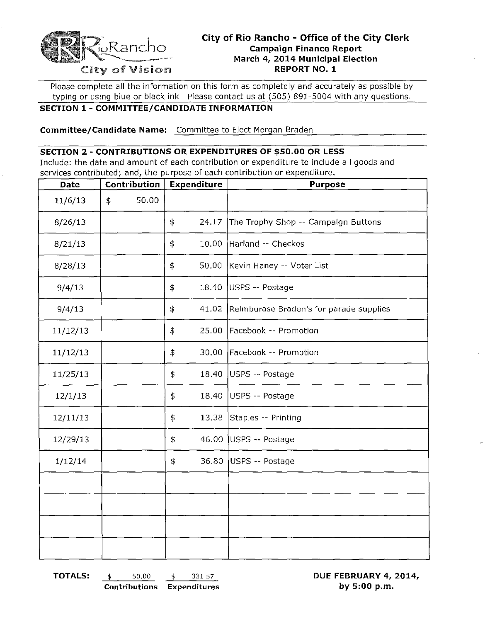

Please complete all the information on this form as completely and accurately as possible by typing or using blue or black ink. Please contact us at (505) 891-5004 with any questions.

## **SECTION 1 - COMMITTEE/CANDIDATE INFORMATION**

**Committee/Candidate Name:** Committee to Elect Morgan Braden

## **SECTION 2 - CONTRIBUTIONS OR EXPENDITURES OF \$50.00 OR LESS**

Include: the date and amount of each contribution or expenditure to include all goods and services contributed; and, the purpose of each contribution or expenditure.

| Date     | Contribution |       | Expenditure |       | <b>Purpose</b>                          |  |  |
|----------|--------------|-------|-------------|-------|-----------------------------------------|--|--|
| 11/6/13  | \$           | 50.00 |             |       |                                         |  |  |
| 8/26/13  |              |       | \$          | 24.17 | The Trophy Shop -- Campaign Buttons     |  |  |
| 8/21/13  |              |       | \$          | 10.00 | Harland -- Checkes                      |  |  |
| 8/28/13  |              |       | \$          | 50.00 | Kevin Haney -- Voter List               |  |  |
| 9/4/13   |              |       | \$          |       | 18.40 USPS -- Postage                   |  |  |
| 9/4/13   |              |       | \$          | 41.02 | Reimburase Braden's for parade supplies |  |  |
| 11/12/13 |              |       | \$          | 25.00 | Facebook -- Promotion                   |  |  |
| 11/12/13 |              |       | \$          | 30.00 | Facebook -- Promotion                   |  |  |
| 11/25/13 |              |       | \$          | 18.40 | USPS -- Postage                         |  |  |
| 12/1/13  |              |       | \$          | 18.40 | USPS -- Postage                         |  |  |
| 12/11/13 |              |       | \$          | 13.38 | Staples -- Printing                     |  |  |
| 12/29/13 |              |       | \$          |       | 46.00 USPS $-$ Postage                  |  |  |
| 1/12/14  |              |       | \$          |       | 36.80 USPS -- Postage                   |  |  |
|          |              |       |             |       |                                         |  |  |
|          |              |       |             |       |                                         |  |  |
|          |              |       |             |       |                                         |  |  |
|          |              |       |             |       |                                         |  |  |

**TOTALS:** \$ 50.00 \$ 331.57 **DUE FEBRUARY 4, 2014,** 

**Contributions Expenditures by 5:00 p.m.**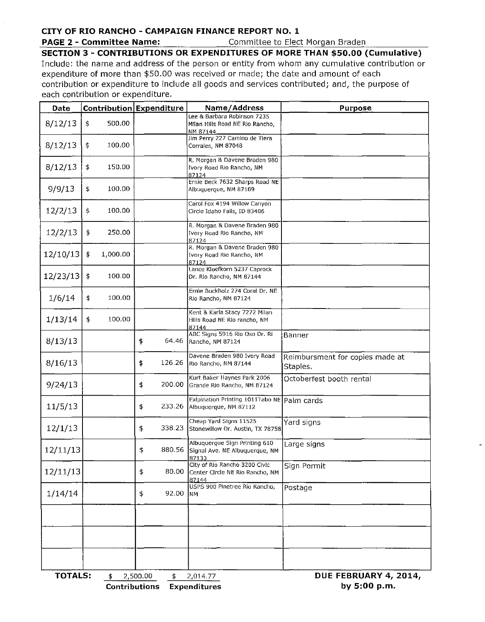## CITY OF RIO RANCHO - CAMPAIGN FINANCE REPORT NO.1

PAGE 2 - Committee Name: Committee to Elect Morgan Braden

SECTION 3 - CONTRIBUTIONS OR EXPENDITURES OF MORE THAN \$50.00 (Cumulative) Include: the name and address of the person or entity from whom any cumulative contribution or expenditure of more than \$50.00 was received or made; the date and amount of each contribution or expenditure to include all goods and services contributed; and, the purpose of each contribution or expenditure.

| Date     |                                                                             |          | Contribution Expenditure |        | Name/Address                                                               | <b>Purpose</b>                              |  |  |  |
|----------|-----------------------------------------------------------------------------|----------|--------------------------|--------|----------------------------------------------------------------------------|---------------------------------------------|--|--|--|
| 8/12/13  | \$                                                                          | 500.00   |                          |        | Lee & Barbara Robinson 7235<br>Milan Hills Road NE Rio Rancho,<br>NM 87144 |                                             |  |  |  |
| 8/12/13  | $\ddagger$                                                                  | 100.00   |                          |        | Jim Perry 227 Camino de Tiera<br>Corrales, NM 87048                        |                                             |  |  |  |
| 8/12/13  | \$                                                                          | 150.00   |                          |        | R. Morgan & Davene Braden 980<br>Ivory Road Rio Rancho, NM<br>87124        |                                             |  |  |  |
| 9/9/13   | \$                                                                          | 100.00   |                          |        | Ernie Beck 7632 Sharps Road NE<br>Albuquerque, NM 87109                    |                                             |  |  |  |
| 12/2/13  | \$                                                                          | 100.00   |                          |        | Carol Fox 4194 Willow Canyon<br>Circle Idaho Falls, ID 83406               |                                             |  |  |  |
| 12/2/13  | \$                                                                          | 250.00   |                          |        | R. Morgan & Davene Braden 980<br>Ivory Road Rio Rancho, NM<br>87124        |                                             |  |  |  |
| 12/10/13 | \$                                                                          | 1,000.00 |                          |        | R. Morgan & Davene Braden 980<br>Ivory Road Rio Rancho, NM<br>87124        |                                             |  |  |  |
| 12/23/13 | \$                                                                          | 100.00   |                          |        | Lance Kloefkorn 5237 Caprock<br>Dr. Rio Rancho, NM 87144                   |                                             |  |  |  |
| 1/6/14   | \$                                                                          | 100.00   |                          |        | Ernie Buckholz 274 Coral Dr. NE<br>Rio Rancho, NM 87124                    |                                             |  |  |  |
| 1/13/14  | \$                                                                          | 100.00   |                          |        | Kent & Karla Stacy 7272 Milan<br>Hills Road NE Rio rancho, NM<br>87144     |                                             |  |  |  |
| 8/13/13  |                                                                             |          | \$                       | 64.46  | ABC Signs 5916 Río Oso Dr. Rí<br>Rancho, NM 87124                          | Banner                                      |  |  |  |
| 8/16/13  |                                                                             |          | \$                       | 126.26 | Davene Braden 980 Ivory Road<br>Rio Rancho, NM 87144                       | Reimbursment for copies made at<br>Staples. |  |  |  |
| 9/24/13  |                                                                             |          | \$                       | 200.00 | Kurt Baker Haynes Park 2006<br>Grande Rio Rancho, NM 87124                 | Octoberfest booth rental                    |  |  |  |
| 11/5/13  |                                                                             |          | \$                       | 233.26 | Exipination Printing 1011Tabo NE Palm cards<br>Albuquerque, NM 87112       |                                             |  |  |  |
| 12/1/13  |                                                                             |          | \$                       | 338.23 | Cheap Yard Signs 11525<br>Stonewillow Dr. Austin, TX 78758                 | Yard signs                                  |  |  |  |
| 12/11/13 |                                                                             |          | \$                       | 880.56 | Albuquerque Sign Printing 610<br>Signal Ave. NE Albuquerque, NM<br>87133   | Large signs                                 |  |  |  |
| 12/11/13 |                                                                             |          | \$                       | 80.00  | City of Rio Rancho 3200 Civic<br>Center Circle NE Rio Rancho, NM<br>87144  | Sign Permit                                 |  |  |  |
| 1/14/14  |                                                                             |          | \$                       | 92.00  | USPS 900 Pinetree Rio Rancho,<br><b>NM</b>                                 | Postage                                     |  |  |  |
|          |                                                                             |          |                          |        |                                                                            |                                             |  |  |  |
|          |                                                                             |          |                          |        |                                                                            |                                             |  |  |  |
|          |                                                                             |          |                          |        |                                                                            |                                             |  |  |  |
|          | <b>TOTALS:</b><br>DUE FEBRUARY 4, 2014,<br>2,500.00<br>2,014.77<br>\$<br>\$ |          |                          |        |                                                                            |                                             |  |  |  |

Contributions Expenditures **by 5:00 p.m.**